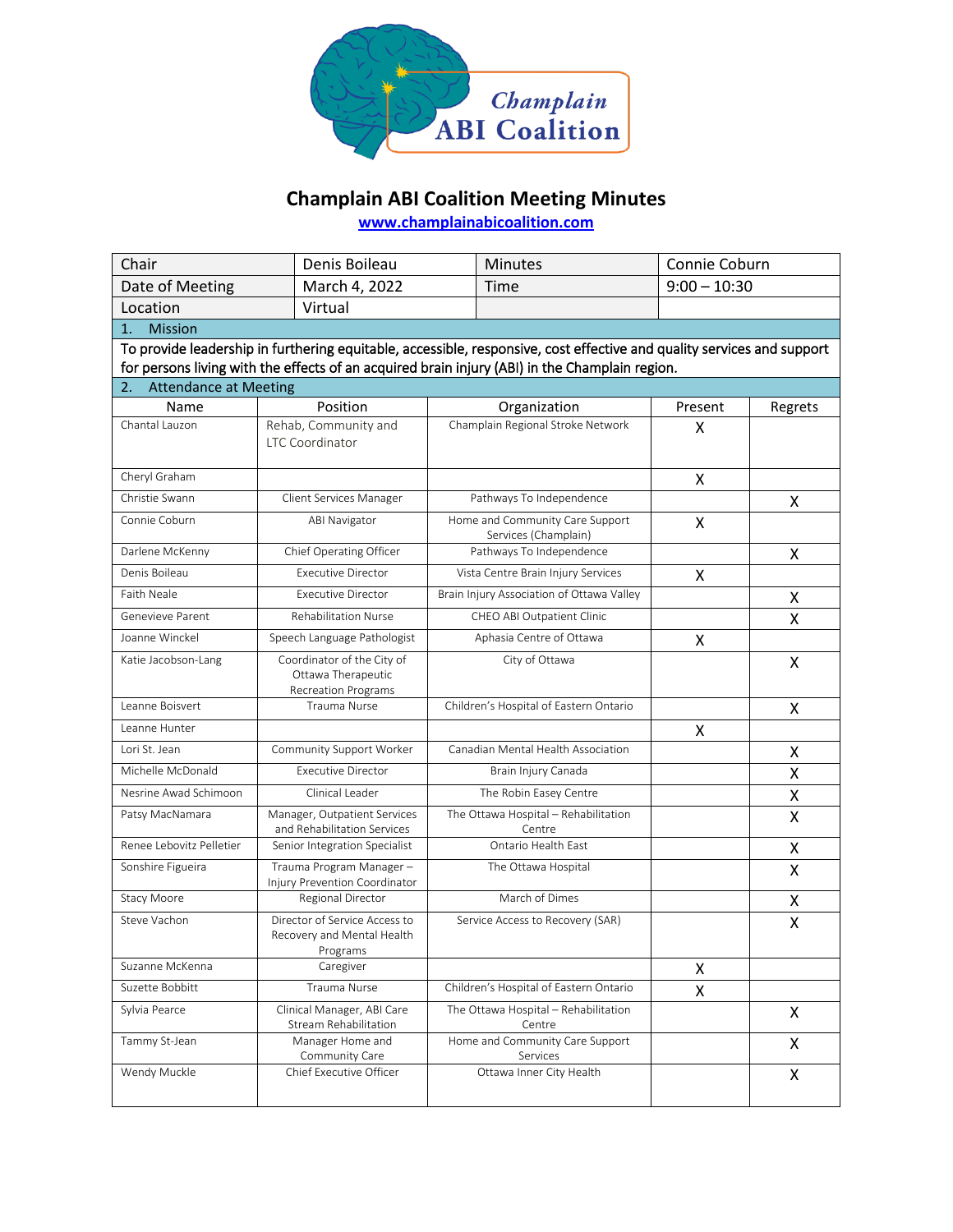

## **Champlain ABI Coalition Meeting Minutes**

**[www.champlainabicoalition.com](http://www.champlainabicoalition.com/)**

| Chair                                                                                                                  |  | Denis Boileau                                                                  |  | <b>Minutes</b>                                          | Connie Coburn  |         |  |
|------------------------------------------------------------------------------------------------------------------------|--|--------------------------------------------------------------------------------|--|---------------------------------------------------------|----------------|---------|--|
| Date of Meeting                                                                                                        |  | March 4, 2022                                                                  |  | Time                                                    | $9:00 - 10:30$ |         |  |
| Location                                                                                                               |  | Virtual                                                                        |  |                                                         |                |         |  |
| $\mathbf{1}$ .<br><b>Mission</b>                                                                                       |  |                                                                                |  |                                                         |                |         |  |
| To provide leadership in furthering equitable, accessible, responsive, cost effective and quality services and support |  |                                                                                |  |                                                         |                |         |  |
| for persons living with the effects of an acquired brain injury (ABI) in the Champlain region.                         |  |                                                                                |  |                                                         |                |         |  |
| <b>Attendance at Meeting</b><br>2.                                                                                     |  |                                                                                |  |                                                         |                |         |  |
| Name                                                                                                                   |  | Position                                                                       |  | Organization                                            | Present        | Regrets |  |
| Chantal Lauzon                                                                                                         |  | Rehab, Community and<br><b>LTC Coordinator</b>                                 |  | Champlain Regional Stroke Network                       | X              |         |  |
| Cheryl Graham                                                                                                          |  |                                                                                |  |                                                         | X              |         |  |
| Christie Swann                                                                                                         |  | Client Services Manager                                                        |  | Pathways To Independence                                |                | X       |  |
| Connie Coburn                                                                                                          |  | <b>ABI Navigator</b>                                                           |  | Home and Community Care Support<br>Services (Champlain) |                |         |  |
| Darlene McKenny                                                                                                        |  | Chief Operating Officer                                                        |  | Pathways To Independence                                |                | X       |  |
| Denis Boileau                                                                                                          |  | <b>Executive Director</b>                                                      |  | Vista Centre Brain Injury Services                      | X              |         |  |
| Faith Neale                                                                                                            |  | <b>Executive Director</b>                                                      |  | Brain Injury Association of Ottawa Valley               |                | Χ       |  |
| Genevieve Parent                                                                                                       |  | <b>Rehabilitation Nurse</b>                                                    |  | CHEO ABI Outpatient Clinic                              |                | X       |  |
| Joanne Winckel                                                                                                         |  | Speech Language Pathologist                                                    |  | Aphasia Centre of Ottawa                                | X              |         |  |
| Katie Jacobson-Lang                                                                                                    |  | Coordinator of the City of<br>Ottawa Therapeutic<br><b>Recreation Programs</b> |  | City of Ottawa                                          |                | X       |  |
| Leanne Boisvert                                                                                                        |  | <b>Trauma Nurse</b>                                                            |  | Children's Hospital of Eastern Ontario                  |                | X       |  |
| Leanne Hunter                                                                                                          |  |                                                                                |  |                                                         | X              |         |  |
| Lori St. Jean                                                                                                          |  | Community Support Worker                                                       |  | Canadian Mental Health Association                      |                | X       |  |
| Michelle McDonald                                                                                                      |  | <b>Executive Director</b>                                                      |  | Brain Injury Canada                                     |                | Χ       |  |
| Nesrine Awad Schimoon                                                                                                  |  | Clinical Leader                                                                |  | The Robin Easey Centre                                  |                | Χ       |  |
| Patsy MacNamara                                                                                                        |  | Manager, Outpatient Services                                                   |  | The Ottawa Hospital - Rehabilitation                    |                | Χ       |  |
| Renee Lebovitz Pelletier                                                                                               |  | and Rehabilitation Services<br>Senior Integration Specialist                   |  | Centre<br>Ontario Health East                           |                | Χ       |  |
| Sonshire Figueira                                                                                                      |  | Trauma Program Manager-                                                        |  | The Ottawa Hospital                                     |                | X       |  |
|                                                                                                                        |  | Injury Prevention Coordinator                                                  |  |                                                         |                |         |  |
| Stacy Moore                                                                                                            |  | Regional Director                                                              |  | March of Dimes                                          |                | Χ       |  |
| Steve Vachon                                                                                                           |  | Director of Service Access to<br>Recovery and Mental Health<br>Programs        |  | Service Access to Recovery (SAR)                        |                | X       |  |
| Suzanne McKenna                                                                                                        |  | Caregiver                                                                      |  |                                                         | X              |         |  |
| Suzette Bobbitt                                                                                                        |  | Trauma Nurse                                                                   |  | Children's Hospital of Eastern Ontario                  | X              |         |  |
| Sylvia Pearce                                                                                                          |  | Clinical Manager, ABI Care<br><b>Stream Rehabilitation</b>                     |  | The Ottawa Hospital - Rehabilitation<br>Centre          |                | X       |  |
| Tammy St-Jean                                                                                                          |  | Manager Home and<br>Community Care                                             |  | Home and Community Care Support<br>Services             |                | X       |  |
| Wendy Muckle                                                                                                           |  | Chief Executive Officer                                                        |  | Ottawa Inner City Health                                |                | X       |  |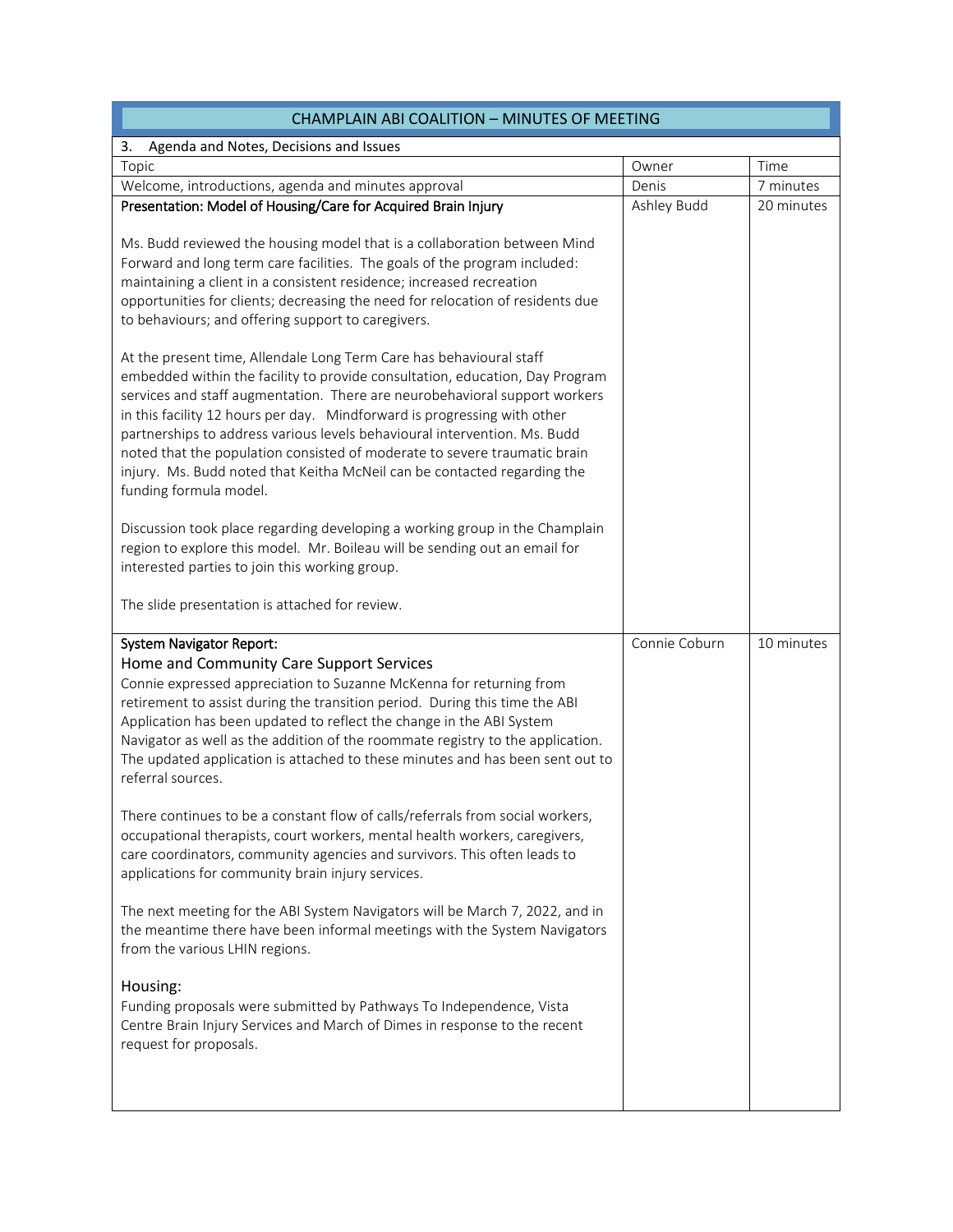| <b>CHAMPLAIN ABI COALITION - MINUTES OF MEETING</b>                                                                                                                                                                                                                                                                                                                                                                                                                                                                                                                           |               |            |  |  |
|-------------------------------------------------------------------------------------------------------------------------------------------------------------------------------------------------------------------------------------------------------------------------------------------------------------------------------------------------------------------------------------------------------------------------------------------------------------------------------------------------------------------------------------------------------------------------------|---------------|------------|--|--|
| 3.<br>Agenda and Notes, Decisions and Issues                                                                                                                                                                                                                                                                                                                                                                                                                                                                                                                                  |               |            |  |  |
| Topic                                                                                                                                                                                                                                                                                                                                                                                                                                                                                                                                                                         | Owner         | Time       |  |  |
| Welcome, introductions, agenda and minutes approval                                                                                                                                                                                                                                                                                                                                                                                                                                                                                                                           | Denis         | 7 minutes  |  |  |
| Presentation: Model of Housing/Care for Acquired Brain Injury<br>Ms. Budd reviewed the housing model that is a collaboration between Mind<br>Forward and long term care facilities. The goals of the program included:                                                                                                                                                                                                                                                                                                                                                        | Ashley Budd   | 20 minutes |  |  |
| maintaining a client in a consistent residence; increased recreation<br>opportunities for clients; decreasing the need for relocation of residents due<br>to behaviours; and offering support to caregivers.                                                                                                                                                                                                                                                                                                                                                                  |               |            |  |  |
| At the present time, Allendale Long Term Care has behavioural staff<br>embedded within the facility to provide consultation, education, Day Program<br>services and staff augmentation. There are neurobehavioral support workers<br>in this facility 12 hours per day. Mindforward is progressing with other<br>partnerships to address various levels behavioural intervention. Ms. Budd<br>noted that the population consisted of moderate to severe traumatic brain<br>injury. Ms. Budd noted that Keitha McNeil can be contacted regarding the<br>funding formula model. |               |            |  |  |
| Discussion took place regarding developing a working group in the Champlain<br>region to explore this model. Mr. Boileau will be sending out an email for<br>interested parties to join this working group.                                                                                                                                                                                                                                                                                                                                                                   |               |            |  |  |
| The slide presentation is attached for review.                                                                                                                                                                                                                                                                                                                                                                                                                                                                                                                                |               |            |  |  |
| <b>System Navigator Report:</b><br>Home and Community Care Support Services                                                                                                                                                                                                                                                                                                                                                                                                                                                                                                   | Connie Coburn | 10 minutes |  |  |
| Connie expressed appreciation to Suzanne McKenna for returning from                                                                                                                                                                                                                                                                                                                                                                                                                                                                                                           |               |            |  |  |
| retirement to assist during the transition period. During this time the ABI<br>Application has been updated to reflect the change in the ABI System<br>Navigator as well as the addition of the roommate registry to the application.                                                                                                                                                                                                                                                                                                                                         |               |            |  |  |
| The updated application is attached to these minutes and has been sent out to<br>referral sources.                                                                                                                                                                                                                                                                                                                                                                                                                                                                            |               |            |  |  |
| There continues to be a constant flow of calls/referrals from social workers,<br>occupational therapists, court workers, mental health workers, caregivers,<br>care coordinators, community agencies and survivors. This often leads to<br>applications for community brain injury services.                                                                                                                                                                                                                                                                                  |               |            |  |  |
| The next meeting for the ABI System Navigators will be March 7, 2022, and in<br>the meantime there have been informal meetings with the System Navigators<br>from the various LHIN regions.                                                                                                                                                                                                                                                                                                                                                                                   |               |            |  |  |
| Housing:<br>Funding proposals were submitted by Pathways To Independence, Vista<br>Centre Brain Injury Services and March of Dimes in response to the recent<br>request for proposals.                                                                                                                                                                                                                                                                                                                                                                                        |               |            |  |  |
|                                                                                                                                                                                                                                                                                                                                                                                                                                                                                                                                                                               |               |            |  |  |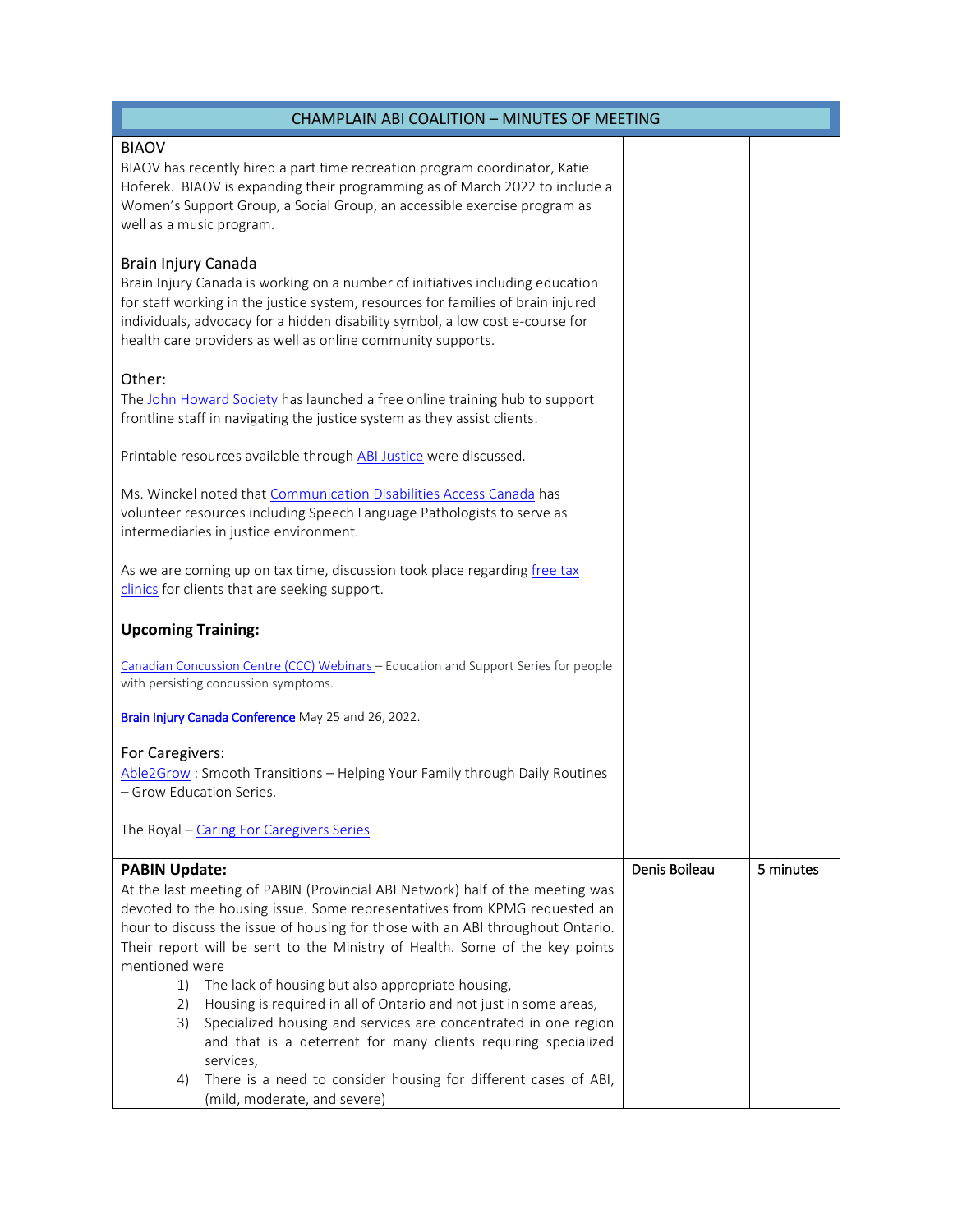| <b>CHAMPLAIN ABI COALITION - MINUTES OF MEETING</b>                                                                                                                                                                                                                                                                                                                                                                                                                                                                                                                                                                                                                 |               |           |
|---------------------------------------------------------------------------------------------------------------------------------------------------------------------------------------------------------------------------------------------------------------------------------------------------------------------------------------------------------------------------------------------------------------------------------------------------------------------------------------------------------------------------------------------------------------------------------------------------------------------------------------------------------------------|---------------|-----------|
| <b>BIAOV</b><br>BIAOV has recently hired a part time recreation program coordinator, Katie<br>Hoferek. BIAOV is expanding their programming as of March 2022 to include a<br>Women's Support Group, a Social Group, an accessible exercise program as<br>well as a music program.                                                                                                                                                                                                                                                                                                                                                                                   |               |           |
| Brain Injury Canada<br>Brain Injury Canada is working on a number of initiatives including education<br>for staff working in the justice system, resources for families of brain injured<br>individuals, advocacy for a hidden disability symbol, a low cost e-course for<br>health care providers as well as online community supports.                                                                                                                                                                                                                                                                                                                            |               |           |
| Other:<br>The John Howard Society has launched a free online training hub to support<br>frontline staff in navigating the justice system as they assist clients.                                                                                                                                                                                                                                                                                                                                                                                                                                                                                                    |               |           |
| Printable resources available through ABI Justice were discussed.                                                                                                                                                                                                                                                                                                                                                                                                                                                                                                                                                                                                   |               |           |
| Ms. Winckel noted that Communication Disabilities Access Canada has<br>volunteer resources including Speech Language Pathologists to serve as<br>intermediaries in justice environment.                                                                                                                                                                                                                                                                                                                                                                                                                                                                             |               |           |
| As we are coming up on tax time, discussion took place regarding free tax<br>clinics for clients that are seeking support.                                                                                                                                                                                                                                                                                                                                                                                                                                                                                                                                          |               |           |
| <b>Upcoming Training:</b>                                                                                                                                                                                                                                                                                                                                                                                                                                                                                                                                                                                                                                           |               |           |
| Canadian Concussion Centre (CCC) Webinars - Education and Support Series for people<br>with persisting concussion symptoms.                                                                                                                                                                                                                                                                                                                                                                                                                                                                                                                                         |               |           |
| Brain Injury Canada Conference May 25 and 26, 2022.                                                                                                                                                                                                                                                                                                                                                                                                                                                                                                                                                                                                                 |               |           |
| For Caregivers:<br>Able2Grow: Smooth Transitions - Helping Your Family through Daily Routines<br>– Grow Education Series.                                                                                                                                                                                                                                                                                                                                                                                                                                                                                                                                           |               |           |
| The Royal - Caring For Caregivers Series                                                                                                                                                                                                                                                                                                                                                                                                                                                                                                                                                                                                                            |               |           |
| <b>PABIN Update:</b><br>At the last meeting of PABIN (Provincial ABI Network) half of the meeting was<br>devoted to the housing issue. Some representatives from KPMG requested an<br>hour to discuss the issue of housing for those with an ABI throughout Ontario.<br>Their report will be sent to the Ministry of Health. Some of the key points<br>mentioned were<br>The lack of housing but also appropriate housing,<br>1)<br>Housing is required in all of Ontario and not just in some areas,<br>2)<br>Specialized housing and services are concentrated in one region<br>3)<br>and that is a deterrent for many clients requiring specialized<br>services, | Denis Boileau | 5 minutes |
| There is a need to consider housing for different cases of ABI,<br>4)<br>(mild, moderate, and severe)                                                                                                                                                                                                                                                                                                                                                                                                                                                                                                                                                               |               |           |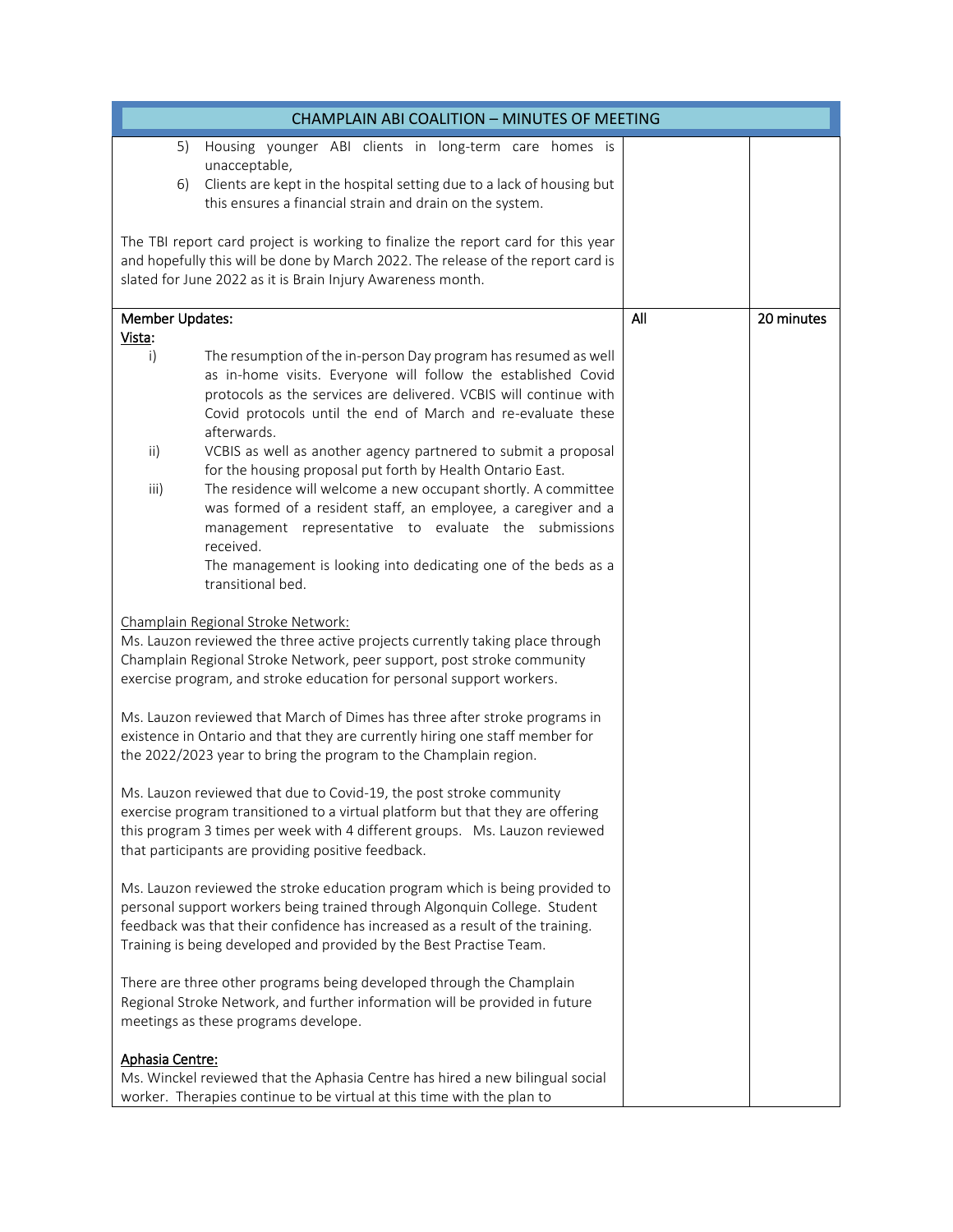| CHAMPLAIN ABI COALITION - MINUTES OF MEETING                                                                                                                                                                                                                                                                                                                                                                                                                                                                                                                                                                                                                                                                                                         |     |            |  |  |
|------------------------------------------------------------------------------------------------------------------------------------------------------------------------------------------------------------------------------------------------------------------------------------------------------------------------------------------------------------------------------------------------------------------------------------------------------------------------------------------------------------------------------------------------------------------------------------------------------------------------------------------------------------------------------------------------------------------------------------------------------|-----|------------|--|--|
| Housing younger ABI clients in long-term care homes is<br>5)<br>unacceptable,<br>Clients are kept in the hospital setting due to a lack of housing but<br>6)<br>this ensures a financial strain and drain on the system.                                                                                                                                                                                                                                                                                                                                                                                                                                                                                                                             |     |            |  |  |
| The TBI report card project is working to finalize the report card for this year<br>and hopefully this will be done by March 2022. The release of the report card is<br>slated for June 2022 as it is Brain Injury Awareness month.                                                                                                                                                                                                                                                                                                                                                                                                                                                                                                                  |     |            |  |  |
| Member Updates:<br>Vista:                                                                                                                                                                                                                                                                                                                                                                                                                                                                                                                                                                                                                                                                                                                            | All | 20 minutes |  |  |
| The resumption of the in-person Day program has resumed as well<br>i)<br>as in-home visits. Everyone will follow the established Covid<br>protocols as the services are delivered. VCBIS will continue with<br>Covid protocols until the end of March and re-evaluate these<br>afterwards.<br>$\mathsf{ii}$<br>VCBIS as well as another agency partnered to submit a proposal<br>for the housing proposal put forth by Health Ontario East.<br>The residence will welcome a new occupant shortly. A committee<br>iii)<br>was formed of a resident staff, an employee, a caregiver and a<br>management representative to evaluate the submissions<br>received.<br>The management is looking into dedicating one of the beds as a<br>transitional bed. |     |            |  |  |
| Champlain Regional Stroke Network:<br>Ms. Lauzon reviewed the three active projects currently taking place through<br>Champlain Regional Stroke Network, peer support, post stroke community<br>exercise program, and stroke education for personal support workers.<br>Ms. Lauzon reviewed that March of Dimes has three after stroke programs in                                                                                                                                                                                                                                                                                                                                                                                                   |     |            |  |  |
| existence in Ontario and that they are currently hiring one staff member for<br>the 2022/2023 year to bring the program to the Champlain region.                                                                                                                                                                                                                                                                                                                                                                                                                                                                                                                                                                                                     |     |            |  |  |
| Ms. Lauzon reviewed that due to Covid-19, the post stroke community<br>exercise program transitioned to a virtual platform but that they are offering<br>this program 3 times per week with 4 different groups. Ms. Lauzon reviewed<br>that participants are providing positive feedback.                                                                                                                                                                                                                                                                                                                                                                                                                                                            |     |            |  |  |
| Ms. Lauzon reviewed the stroke education program which is being provided to<br>personal support workers being trained through Algonquin College. Student<br>feedback was that their confidence has increased as a result of the training.<br>Training is being developed and provided by the Best Practise Team.                                                                                                                                                                                                                                                                                                                                                                                                                                     |     |            |  |  |
| There are three other programs being developed through the Champlain<br>Regional Stroke Network, and further information will be provided in future<br>meetings as these programs develope.                                                                                                                                                                                                                                                                                                                                                                                                                                                                                                                                                          |     |            |  |  |
| Aphasia Centre:<br>Ms. Winckel reviewed that the Aphasia Centre has hired a new bilingual social<br>worker. Therapies continue to be virtual at this time with the plan to                                                                                                                                                                                                                                                                                                                                                                                                                                                                                                                                                                           |     |            |  |  |